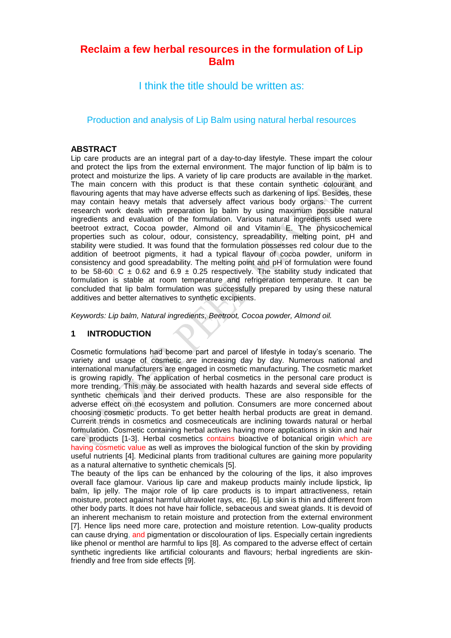# **Reclaim a few herbal resources in the formulation of Lip Balm**

I think the title should be written as:

Production and analysis of Lip Balm using natural herbal resources

#### **ABSTRACT**

Lip care products are an integral part of a day-to-day lifestyle. These impart the colour and protect the lips from the external environment. The major function of lip balm is to protect and moisturize the lips. A variety of lip care products are available in the market. The main concern with this product is that these contain synthetic colourant and flavouring agents that may have adverse effects such as darkening of lips. Besides, these may contain heavy metals that adversely affect various body organs. The current research work deals with preparation lip balm by using maximum possible natural ingredients and evaluation of the formulation. Various natural ingredients used were beetroot extract, Cocoa powder, Almond oil and Vitamin E. The physicochemical properties such as colour, odour, consistency, spreadability, melting point, pH and stability were studied. It was found that the formulation possesses red colour due to the addition of beetroot pigments, it had a typical flavour of cocoa powder, uniform in consistency and good spreadability. The melting point and pH of formulation were found to be 58-60 C  $\pm$  0.62 and 6.9  $\pm$  0.25 respectively. The stability study indicated that formulation is stable at room temperature and refrigeration temperature. It can be concluded that lip balm formulation was successfully prepared by using these natural additives and better alternatives to synthetic excipients.

*Keywords: Lip balm, Natural ingredients, Beetroot, Cocoa powder, Almond oil.*

# **1 INTRODUCTION**

Cosmetic formulations had become part and parcel of lifestyle in today's scenario. The variety and usage of cosmetic are increasing day by day. Numerous national and international manufacturers are engaged in cosmetic manufacturing. The cosmetic market is growing rapidly. The application of herbal cosmetics in the personal care product is more trending. This may be associated with health hazards and several side effects of synthetic chemicals and their derived products. These are also responsible for the adverse effect on the ecosystem and pollution. Consumers are more concerned about choosing cosmetic products. To get better health herbal products are great in demand. Current trends in cosmetics and cosmeceuticals are inclining towards natural or herbal formulation. Cosmetic containing herbal actives having more applications in skin and hair care products [1-3]. Herbal cosmetics contains bioactive of botanical origin which are having cosmetic value as well as improves the biological function of the skin by providing useful nutrients [4]. Medicinal plants from traditional cultures are gaining more popularity as a natural alternative to synthetic chemicals [5].

The beauty of the lips can be enhanced by the colouring of the lips, it also improves overall face glamour. Various lip care and makeup products mainly include lipstick, lip balm, lip jelly. The major role of lip care products is to impart attractiveness, retain moisture, protect against harmful ultraviolet rays, etc. [6]. Lip skin is thin and different from other body parts. It does not have hair follicle, sebaceous and sweat glands. It is devoid of an inherent mechanism to retain moisture and protection from the external environment [7]. Hence lips need more care, protection and moisture retention. Low-quality products can cause drying, and pigmentation or discolouration of lips. Especially certain ingredients like phenol or menthol are harmful to lips [8]. As compared to the adverse effect of certain synthetic ingredients like artificial colourants and flavours; herbal ingredients are skinfriendly and free from side effects [9].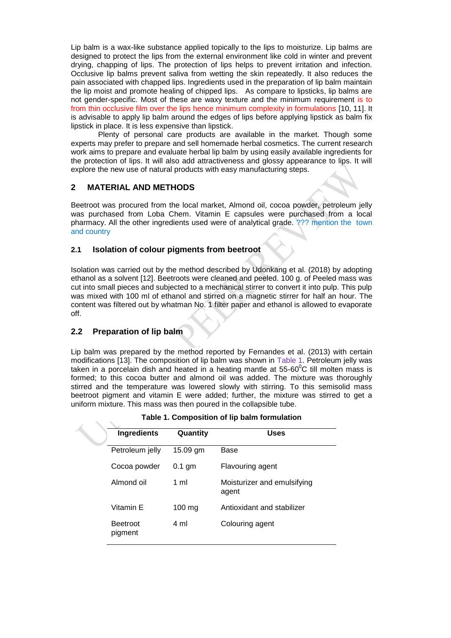Lip balm is a wax-like substance applied topically to the lips to moisturize. Lip balms are designed to protect the lips from the external environment like cold in winter and prevent drying, chapping of lips. The protection of lips helps to prevent irritation and infection. Occlusive lip balms prevent saliva from wetting the skin repeatedly. It also reduces the pain associated with chapped lips. Ingredients used in the preparation of lip balm maintain the lip moist and promote healing of chipped lips. As compare to lipsticks, lip balms are not gender-specific. Most of these are waxy texture and the minimum requirement is to from thin occlusive film over the lips hence minimum complexity in formulations [10, 11]. It is advisable to apply lip balm around the edges of lips before applying lipstick as balm fix lipstick in place. It is less expensive than lipstick.

Plenty of personal care products are available in the market. Though some experts may prefer to prepare and sell homemade herbal cosmetics. The current research work aims to prepare and evaluate herbal lip balm by using easily available ingredients for the protection of lips. It will also add attractiveness and glossy appearance to lips. It will explore the new use of natural products with easy manufacturing steps.

## **2 MATERIAL AND METHODS**

Beetroot was procured from the local market, Almond oil, cocoa powder, petroleum jelly was purchased from Loba Chem. Vitamin E capsules were purchased from a local pharmacy. All the other ingredients used were of analytical grade. ??? mention the town and country

## **2.1 Isolation of colour pigments from beetroot**

Isolation was carried out by the method described by Udonkang et al. (2018) by adopting ethanol as a solvent [12]. Beetroots were cleaned and peeled. 100 g. of Peeled mass was cut into small pieces and subjected to a mechanical stirrer to convert it into pulp. This pulp was mixed with 100 ml of ethanol and stirred on a magnetic stirrer for half an hour. The content was filtered out by whatman No. 1 filter paper and ethanol is allowed to evaporate off.

# **2.2 Preparation of lip balm**

Lip balm was prepared by the method reported by Fernandes et al. (2013) with certain modifications [13]. The composition of lip balm was shown in Table 1. Petroleum jelly was taken in a porcelain dish and heated in a heating mantle at  $55{\text{-}}60^{\circ}$ C till molten mass is formed; to this cocoa butter and almond oil was added. The mixture was thoroughly stirred and the temperature was lowered slowly with stirring. To this semisolid mass beetroot pigment and vitamin E were added; further, the mixture was stirred to get a uniform mixture. This mass was then poured in the collapsible tube.

|  | Table 1. Composition of lip balm formulation |  |  |
|--|----------------------------------------------|--|--|
|--|----------------------------------------------|--|--|

| <b>Ingredients</b>         | Quantity         | <b>Uses</b>                          |  |  |
|----------------------------|------------------|--------------------------------------|--|--|
| Petroleum jelly            | 15.09 gm         | Base                                 |  |  |
| Cocoa powder               | $0.1$ gm         | Flavouring agent                     |  |  |
| Almond oil                 | 1 ml             | Moisturizer and emulsifying<br>agent |  |  |
| Vitamin E                  | $100 \text{ mg}$ | Antioxidant and stabilizer           |  |  |
| <b>Beetroot</b><br>pigment | 4 ml             | Colouring agent                      |  |  |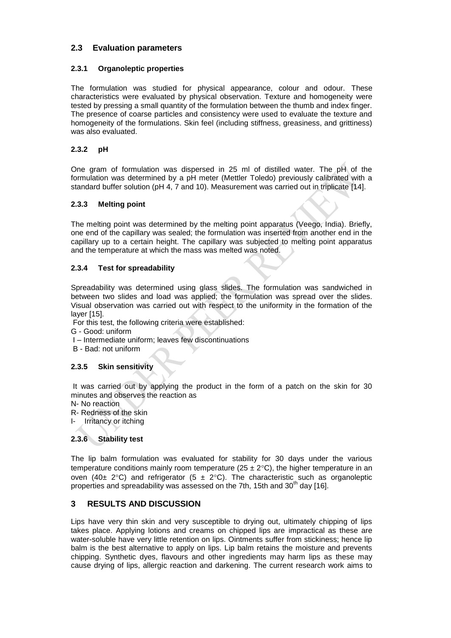# **2.3 Evaluation parameters**

#### **2.3.1 Organoleptic properties**

The formulation was studied for physical appearance, colour and odour. These characteristics were evaluated by physical observation. Texture and homogeneity were tested by pressing a small quantity of the formulation between the thumb and index finger. The presence of coarse particles and consistency were used to evaluate the texture and homogeneity of the formulations. Skin feel (including stiffness, greasiness, and grittiness) was also evaluated.

#### **2.3.2 pH**

One gram of formulation was dispersed in 25 ml of distilled water. The pH of the formulation was determined by a pH meter (Mettler Toledo) previously calibrated with a standard buffer solution (pH 4, 7 and 10). Measurement was carried out in triplicate [14].

#### **2.3.3 Melting point**

The melting point was determined by the melting point apparatus (Veego, India). Briefly, one end of the capillary was sealed; the formulation was inserted from another end in the capillary up to a certain height. The capillary was subjected to melting point apparatus and the temperature at which the mass was melted was noted.

## **2.3.4 Test for spreadability**

Spreadability was determined using glass slides. The formulation was sandwiched in between two slides and load was applied; the formulation was spread over the slides. Visual observation was carried out with respect to the uniformity in the formation of the layer [15].

For this test, the following criteria were established:

G - Good: uniform

- I Intermediate uniform; leaves few discontinuations
- B Bad: not uniform

#### **2.3.5 Skin sensitivity**

It was carried out by applying the product in the form of a patch on the skin for 30 minutes and observes the reaction as

- N- No reaction
- R- Redness of the skin
- I- Irritancy or itching

# **2.3.6 Stability test**

The lip balm formulation was evaluated for stability for 30 days under the various temperature conditions mainly room temperature ( $25 \pm 2^{\circ}$ C), the higher temperature in an oven (40± 2°C) and refrigerator (5 ± 2°C). The characteristic such as organoleptic properties and spreadability was assessed on the 7th, 15th and  $30<sup>th</sup>$  day [16].

# **3 RESULTS AND DISCUSSION**

Lips have very thin skin and very susceptible to drying out, ultimately chipping of lips takes place. Applying lotions and creams on chipped lips are impractical as these are water-soluble have very little retention on lips. Ointments suffer from stickiness; hence lip balm is the best alternative to apply on lips. Lip balm retains the moisture and prevents chipping. Synthetic dyes, flavours and other ingredients may harm lips as these may cause drying of lips, allergic reaction and darkening. The current research work aims to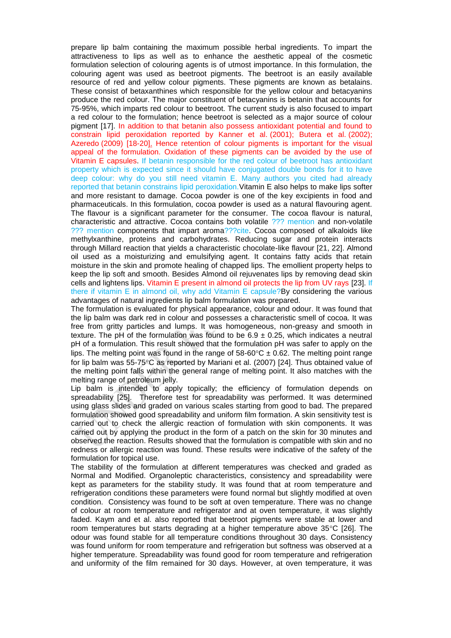prepare lip balm containing the maximum possible herbal ingredients. To impart the attractiveness to lips as well as to enhance the aesthetic appeal of the cosmetic formulation selection of colouring agents is of utmost importance. In this formulation, the colouring agent was used as beetroot pigments. The beetroot is an easily available resource of red and yellow colour pigments. These pigments are known as betalains. These consist of betaxanthines which responsible for the yellow colour and betacyanins produce the red colour. The major constituent of betacyanins is betanin that accounts for 75-95%, which imparts red colour to beetroot. The current study is also focused to impart a red colour to the formulation; hence beetroot is selected as a major source of colour pigment [17]. In addition to that betanin also possess antioxidant potential and found to constrain lipid peroxidation reported by Kanner et al. (2001); Butera et al. (2002); Azeredo (2009) [18-20]. Hence retention of colour pigments is important for the visual appeal of the formulation. Oxidation of these pigments can be avoided by the use of Vitamin E capsules. If betanin responsible for the red colour of beetroot has antioxidant property which is expected since it should have conjugated double bonds for it to have deep colour: why do you still need vitamin E. Many authors you cited had already reported that betanin constrains lipid peroxidation.Vitamin E also helps to make lips softer and more resistant to damage. Cocoa powder is one of the key excipients in food and pharmaceuticals. In this formulation, cocoa powder is used as a natural flavouring agent. The flavour is a significant parameter for the consumer. The cocoa flavour is natural, characteristic and attractive. Cocoa contains both volatile ??? mention and non-volatile ??? mention components that impart aroma???cite. Cocoa composed of alkaloids like methylxanthine, proteins and carbohydrates. Reducing sugar and protein interacts through Millard reaction that yields a characteristic chocolate-like flavour [21, 22]. Almond oil used as a moisturizing and emulsifying agent. It contains fatty acids that retain moisture in the skin and promote healing of chapped lips. The emollient property helps to keep the lip soft and smooth. Besides Almond oil rejuvenates lips by removing dead skin cells and lightens lips. Vitamin E present in almond oil protects the lip from UV rays [23]. If there if vitamin E in almond oil, why add Vitamin E capsule?By considering the various advantages of natural ingredients lip balm formulation was prepared.

The formulation is evaluated for physical appearance, colour and odour. It was found that the lip balm was dark red in colour and possesses a characteristic smell of cocoa. It was free from gritty particles and lumps. It was homogeneous, non-greasy and smooth in texture. The pH of the formulation was found to be  $6.9 \pm 0.25$ , which indicates a neutral pH of a formulation. This result showed that the formulation pH was safer to apply on the lips. The melting point was found in the range of  $58{\cdot}60^{\circ}\text{C} \pm 0.62$ . The melting point range for lip balm was 55-75°C as reported by Mariani et al. (2007) [24]. Thus obtained value of the melting point falls within the general range of melting point. It also matches with the melting range of petroleum jelly.

Lip balm is intended to apply topically; the efficiency of formulation depends on spreadability [25]. Therefore test for spreadability was performed. It was determined using glass slides and graded on various scales starting from good to bad. The prepared formulation showed good spreadability and uniform film formation. A skin sensitivity test is carried out to check the allergic reaction of formulation with skin components. It was carried out by applying the product in the form of a patch on the skin for 30 minutes and observed the reaction. Results showed that the formulation is compatible with skin and no redness or allergic reaction was found. These results were indicative of the safety of the formulation for topical use.

The stability of the formulation at different temperatures was checked and graded as Normal and Modified. Organoleptic characteristics, consistency and spreadability were kept as parameters for the stability study. It was found that at room temperature and refrigeration conditions these parameters were found normal but slightly modified at oven condition. Consistency was found to be soft at oven temperature. There was no change of colour at room temperature and refrigerator and at oven temperature, it was slightly faded. Kaym and et al. also reported that beetroot pigments were stable at lower and room temperatures but starts degrading at a higher temperature above  $35^{\circ}$ C [26]. The odour was found stable for all temperature conditions throughout 30 days. Consistency was found uniform for room temperature and refrigeration but softness was observed at a higher temperature. Spreadability was found good for room temperature and refrigeration and uniformity of the film remained for 30 days. However, at oven temperature, it was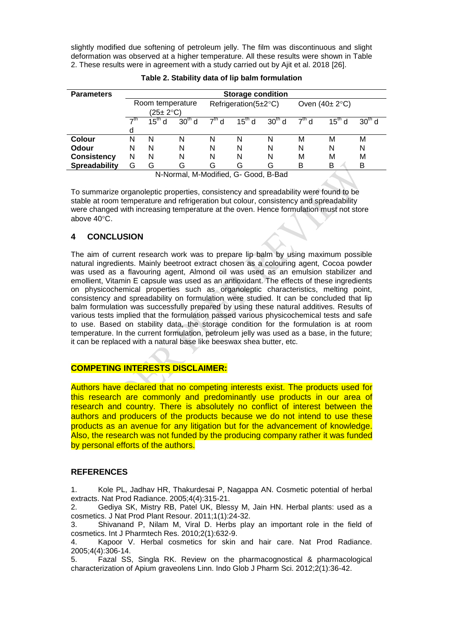slightly modified due softening of petroleum jelly. The film was discontinuous and slight deformation was observed at a higher temperature. All these results were shown in Table 2. These results were in agreement with a study carried out by Ajit et al. 2018 [26].

| <b>Parameters</b>    | <b>Storage condition</b>      |             |          |                            |             |          |                 |             |          |
|----------------------|-------------------------------|-------------|----------|----------------------------|-------------|----------|-----------------|-------------|----------|
|                      | Room temperature<br>(25± 2°C) |             |          | Refrigeration( $5\pm2$ °C) |             |          | Oven $(40±2°C)$ |             |          |
|                      | $\rightarrow$ th<br>d         | $15^{th}$ d | $30th$ d | $7th$ d                    | $15^{th}$ d | $30th$ d | $7th$ d         | $15^{th}$ d | $30th$ d |
| <b>Colour</b>        | N                             | N           | N        | N                          | N           | N        | м               | М           | М        |
| <b>Odour</b>         | N                             | N           | N        | N                          | N           | N        | N               | N           | N        |
| <b>Consistency</b>   | N                             | N           | N        | N                          | N           | N        | М               | М           | м        |
| <b>Spreadability</b> | G                             | G           | G        | G                          | G           | G        | в               | B           | B        |
|                      |                               |             |          |                            |             |          |                 |             |          |

**Table 2. Stability data of lip balm formulation**

N-Normal, M-Modified, G- Good, B-Bad

To summarize organoleptic properties, consistency and spreadability were found to be stable at room temperature and refrigeration but colour, consistency and spreadability were changed with increasing temperature at the oven. Hence formulation must not store above 40°C.

# **4 CONCLUSION**

The aim of current research work was to prepare lip balm by using maximum possible natural ingredients. Mainly beetroot extract chosen as a colouring agent, Cocoa powder was used as a flavouring agent, Almond oil was used as an emulsion stabilizer and emollient, Vitamin E capsule was used as an antioxidant. The effects of these ingredients on physicochemical properties such as organoleptic characteristics, melting point, consistency and spreadability on formulation were studied. It can be concluded that lip balm formulation was successfully prepared by using these natural additives. Results of various tests implied that the formulation passed various physicochemical tests and safe to use. Based on stability data, the storage condition for the formulation is at room temperature. In the current formulation, petroleum jelly was used as a base, in the future; it can be replaced with a natural base like beeswax shea butter, etc.

# **COMPETING INTERESTS DISCLAIMER:**

Authors have declared that no competing interests exist. The products used for this research are commonly and predominantly use products in our area of research and country. There is absolutely no conflict of interest between the authors and producers of the products because we do not intend to use these products as an avenue for any litigation but for the advancement of knowledge. Also, the research was not funded by the producing company rather it was funded by personal efforts of the authors.

# **REFERENCES**

1. Kole PL, Jadhav HR, Thakurdesai P, Nagappa AN. Cosmetic potential of herbal extracts. Nat Prod Radiance. 2005;4(4):315-21.

2. Gediya SK, Mistry RB, Patel UK, Blessy M, Jain HN. Herbal plants: used as a cosmetics. J Nat Prod Plant Resour. 2011;1(1):24-32.

3. Shivanand P, Nilam M, Viral D. Herbs play an important role in the field of cosmetics. Int J Pharmtech Res. 2010;2(1):632-9.

4. Kapoor V. Herbal cosmetics for skin and hair care. Nat Prod Radiance. 2005;4(4):306-14.

5. Fazal SS, Singla RK. Review on the pharmacognostical & pharmacological characterization of Apium graveolens Linn. Indo Glob J Pharm Sci. 2012;2(1):36-42.